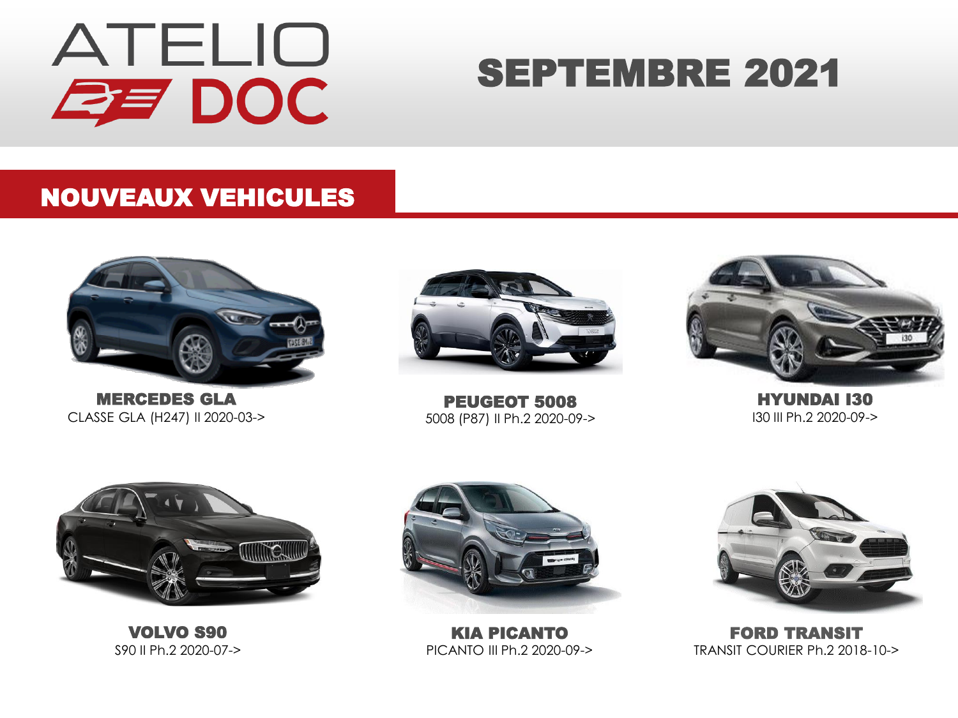

## SEPTEMBRE 2021

#### NOUVEAUX VEHICULES



MERCEDES GLA CLASSE GLA (H247) II 2020-03->



PEUGEOT 5008 5008 (P87) II Ph.2 2020-09->



HYUNDAI I30 I30 III Ph.2 2020-09->



VOLVO S90 S90 II Ph.2 2020-07->



KIA PICANTO PICANTO III Ph.2 2020-09->



FORD TRANSIT TRANSIT COURIER Ph.2 2018-10->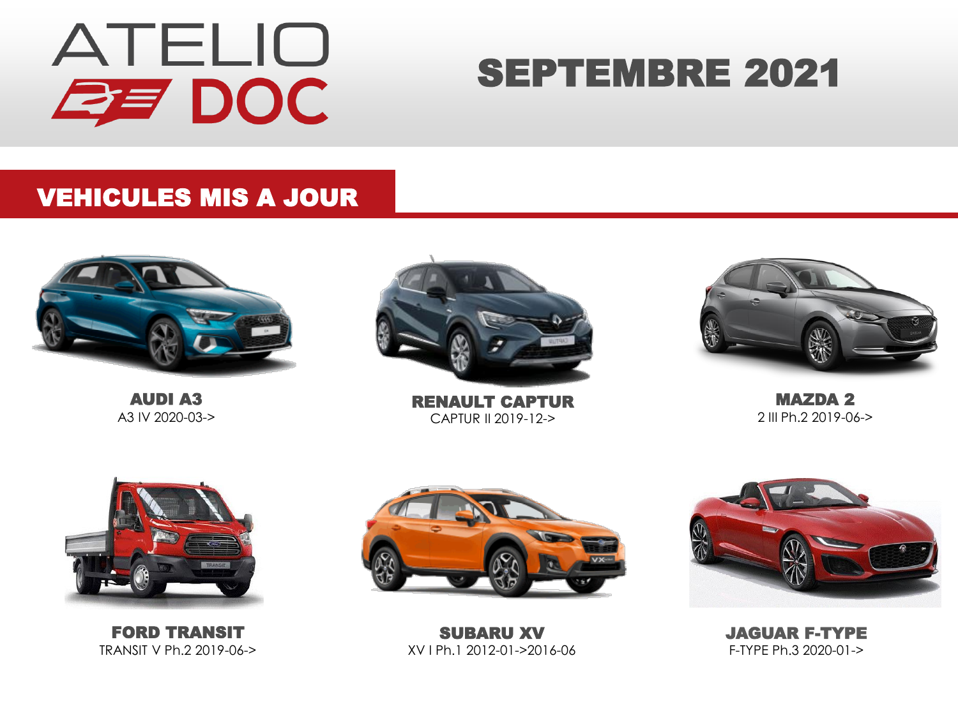

## SEPTEMBRE 2021

#### VEHICULES MIS A JOUR



AUDI A3 A3 IV 2020-03->



RENAULT CAPTUR CAPTUR II 2019-12->



MAZDA 2 2 III Ph.2 2019-06->



FORD TRANSIT TRANSIT V Ph.2 2019-06->



SUBARU XV XV I Ph.1 2012-01->2016-06



JAGUAR F-TYPE F-TYPE Ph.3 2020-01->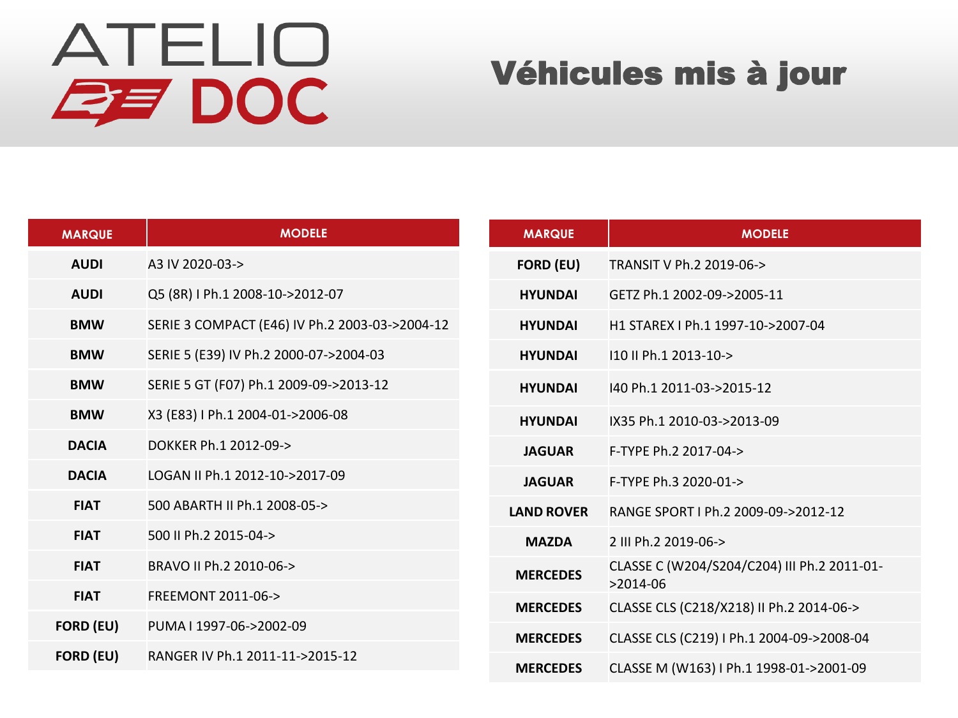# ATELIO **ZE DOC**

### Véhicules mis à jour

| <b>MARQUE</b>    | <b>MODELE</b>                                  | <b>MARQUE</b>     | <b>MODELE</b>                                          |
|------------------|------------------------------------------------|-------------------|--------------------------------------------------------|
| <b>AUDI</b>      | A3 IV 2020-03->                                | <b>FORD (EU)</b>  | TRANSIT V Ph.2 2019-06->                               |
| <b>AUDI</b>      | Q5 (8R) I Ph.1 2008-10->2012-07                | <b>HYUNDAI</b>    | GETZ Ph.1 2002-09->2005-11                             |
| <b>BMW</b>       | SERIE 3 COMPACT (E46) IV Ph.2 2003-03->2004-12 | <b>HYUNDAI</b>    | H1 STAREX I Ph.1 1997-10->2007-04                      |
| <b>BMW</b>       | SERIE 5 (E39) IV Ph.2 2000-07->2004-03         | <b>HYUNDAI</b>    | 110 II Ph.1 2013-10->                                  |
| <b>BMW</b>       | SERIE 5 GT (F07) Ph.1 2009-09->2013-12         | <b>HYUNDAI</b>    | 140 Ph.1 2011-03->2015-12                              |
| <b>BMW</b>       | X3 (E83) I Ph.1 2004-01->2006-08               | <b>HYUNDAI</b>    | IX35 Ph.1 2010-03->2013-09                             |
| <b>DACIA</b>     | DOKKER Ph.1 2012-09->                          | <b>JAGUAR</b>     | F-TYPE Ph.2 2017-04->                                  |
| <b>DACIA</b>     | LOGAN II Ph.1 2012-10->2017-09                 | <b>JAGUAR</b>     | F-TYPE Ph.3 2020-01->                                  |
| <b>FIAT</b>      | 500 ABARTH II Ph.1 2008-05->                   | <b>LAND ROVER</b> | RANGE SPORT I Ph.2 2009-09->2012-12                    |
| <b>FIAT</b>      | 500 II Ph.2 2015-04->                          | <b>MAZDA</b>      | 2 III Ph.2 2019-06->                                   |
| <b>FIAT</b>      | BRAVO II Ph.2 2010-06->                        | <b>MERCEDES</b>   | CLASSE C (W204/S204/C204) III Ph.2 2011-01-            |
| <b>FIAT</b>      | FREEMONT 2011-06->                             | <b>MERCEDES</b>   | $>2014-06$<br>CLASSE CLS (C218/X218) II Ph.2 2014-06-> |
| <b>FORD (EU)</b> | PUMA I 1997-06->2002-09                        | <b>MERCEDES</b>   | CLASSE CLS (C219) I Ph.1 2004-09->2008-04              |
| <b>FORD (EU)</b> | RANGER IV Ph.1 2011-11->2015-12                | <b>MERCEDES</b>   | CLASSE M (W163) I Ph.1 1998-01->2001-09                |